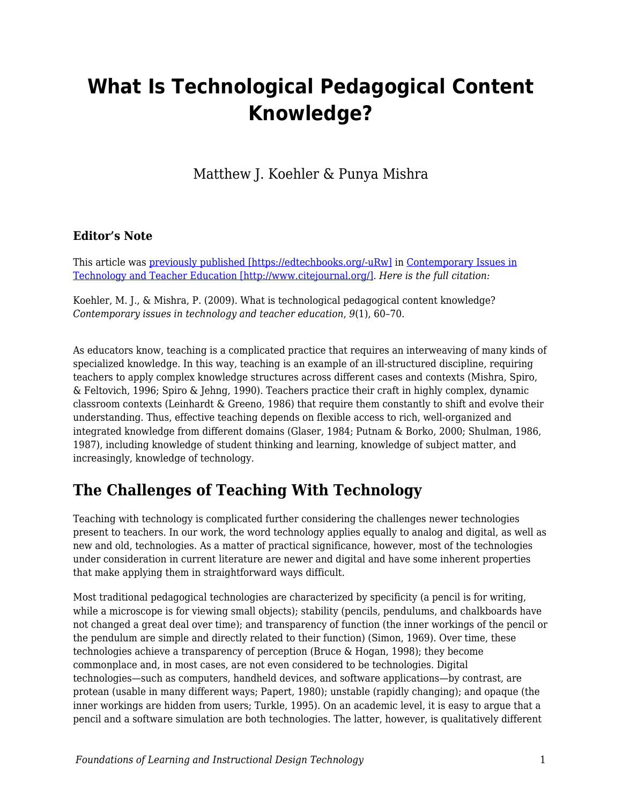# **What Is Technological Pedagogical Content Knowledge?**

Matthew J. Koehler & Punya Mishra

#### **Editor's Note**

This article was [previously published \[https://edtechbooks.org/-uRw\]](http://www.citejournal.org/volume-9/issue-1-09/general/what-is-technological-pedagogicalcontent-knowledge/) in [Contemporary Issues in](http://www.citejournal.org/) [Technology and Teacher Education \[http://www.citejournal.org/\]](http://www.citejournal.org/)*. Here is the full citation:*

Koehler, M. J., & Mishra, P. (2009). What is technological pedagogical content knowledge? *Contemporary issues in technology and teacher education*, *9*(1), 60–70.

As educators know, teaching is a complicated practice that requires an interweaving of many kinds of specialized knowledge. In this way, teaching is an example of an ill-structured discipline, requiring teachers to apply complex knowledge structures across different cases and contexts (Mishra, Spiro, & Feltovich, 1996; Spiro & Jehng, 1990). Teachers practice their craft in highly complex, dynamic classroom contexts (Leinhardt & Greeno, 1986) that require them constantly to shift and evolve their understanding. Thus, effective teaching depends on flexible access to rich, well-organized and integrated knowledge from different domains (Glaser, 1984; Putnam & Borko, 2000; Shulman, 1986, 1987), including knowledge of student thinking and learning, knowledge of subject matter, and increasingly, knowledge of technology.

#### **The Challenges of Teaching With Technology**

Teaching with technology is complicated further considering the challenges newer technologies present to teachers. In our work, the word technology applies equally to analog and digital, as well as new and old, technologies. As a matter of practical significance, however, most of the technologies under consideration in current literature are newer and digital and have some inherent properties that make applying them in straightforward ways difficult.

Most traditional pedagogical technologies are characterized by specificity (a pencil is for writing, while a microscope is for viewing small objects); stability (pencils, pendulums, and chalkboards have not changed a great deal over time); and transparency of function (the inner workings of the pencil or the pendulum are simple and directly related to their function) (Simon, 1969). Over time, these technologies achieve a transparency of perception (Bruce & Hogan, 1998); they become commonplace and, in most cases, are not even considered to be technologies. Digital technologies—such as computers, handheld devices, and software applications—by contrast, are protean (usable in many different ways; Papert, 1980); unstable (rapidly changing); and opaque (the inner workings are hidden from users; Turkle, 1995). On an academic level, it is easy to argue that a pencil and a software simulation are both technologies. The latter, however, is qualitatively different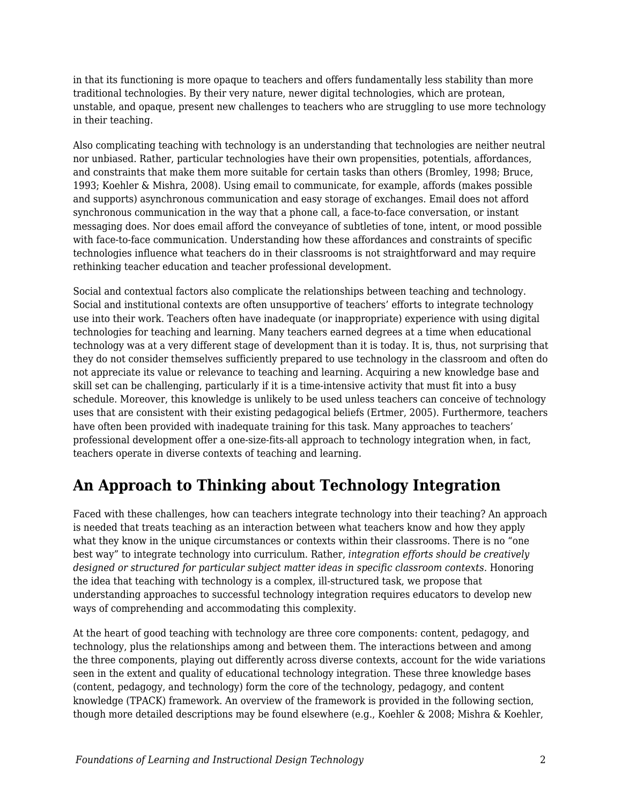in that its functioning is more opaque to teachers and offers fundamentally less stability than more traditional technologies. By their very nature, newer digital technologies, which are protean, unstable, and opaque, present new challenges to teachers who are struggling to use more technology in their teaching.

Also complicating teaching with technology is an understanding that technologies are neither neutral nor unbiased. Rather, particular technologies have their own propensities, potentials, affordances, and constraints that make them more suitable for certain tasks than others (Bromley, 1998; Bruce, 1993; Koehler & Mishra, 2008). Using email to communicate, for example, affords (makes possible and supports) asynchronous communication and easy storage of exchanges. Email does not afford synchronous communication in the way that a phone call, a face-to-face conversation, or instant messaging does. Nor does email afford the conveyance of subtleties of tone, intent, or mood possible with face-to-face communication. Understanding how these affordances and constraints of specific technologies influence what teachers do in their classrooms is not straightforward and may require rethinking teacher education and teacher professional development.

Social and contextual factors also complicate the relationships between teaching and technology. Social and institutional contexts are often unsupportive of teachers' efforts to integrate technology use into their work. Teachers often have inadequate (or inappropriate) experience with using digital technologies for teaching and learning. Many teachers earned degrees at a time when educational technology was at a very different stage of development than it is today. It is, thus, not surprising that they do not consider themselves sufficiently prepared to use technology in the classroom and often do not appreciate its value or relevance to teaching and learning. Acquiring a new knowledge base and skill set can be challenging, particularly if it is a time-intensive activity that must fit into a busy schedule. Moreover, this knowledge is unlikely to be used unless teachers can conceive of technology uses that are consistent with their existing pedagogical beliefs (Ertmer, 2005). Furthermore, teachers have often been provided with inadequate training for this task. Many approaches to teachers' professional development offer a one-size-fits-all approach to technology integration when, in fact, teachers operate in diverse contexts of teaching and learning.

#### **An Approach to Thinking about Technology Integration**

Faced with these challenges, how can teachers integrate technology into their teaching? An approach is needed that treats teaching as an interaction between what teachers know and how they apply what they know in the unique circumstances or contexts within their classrooms. There is no "one best way" to integrate technology into curriculum. Rather, *integration efforts should be creatively designed or structured for particular subject matter ideas in specific classroom contexts*. Honoring the idea that teaching with technology is a complex, ill-structured task, we propose that understanding approaches to successful technology integration requires educators to develop new ways of comprehending and accommodating this complexity.

At the heart of good teaching with technology are three core components: content, pedagogy, and technology, plus the relationships among and between them. The interactions between and among the three components, playing out differently across diverse contexts, account for the wide variations seen in the extent and quality of educational technology integration. These three knowledge bases (content, pedagogy, and technology) form the core of the technology, pedagogy, and content knowledge (TPACK) framework. An overview of the framework is provided in the following section, though more detailed descriptions may be found elsewhere (e.g., Koehler & 2008; Mishra & Koehler,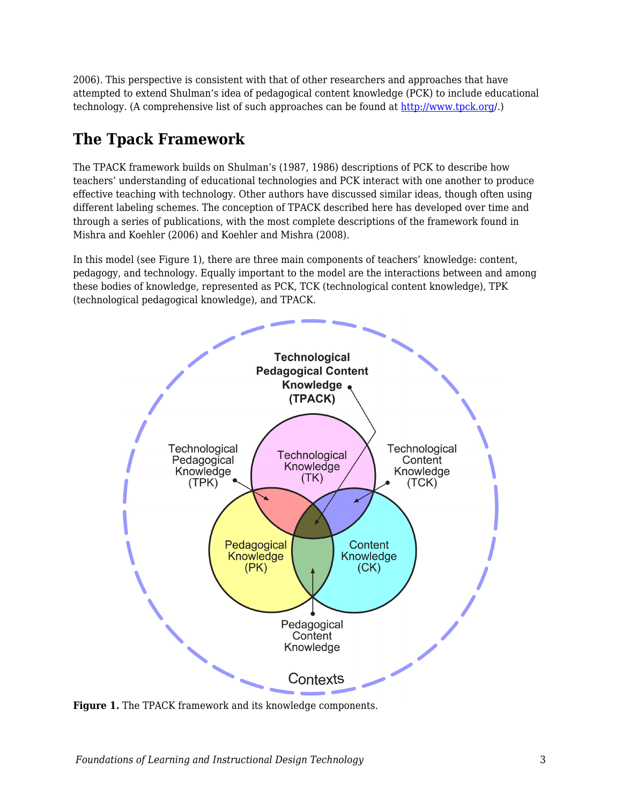2006). This perspective is consistent with that of other researchers and approaches that have attempted to extend Shulman's idea of pedagogical content knowledge (PCK) to include educational technology. (A comprehensive list of such approaches can be found at <http://www.tpck.org/>.)

# **The Tpack Framework**

The TPACK framework builds on Shulman's (1987, 1986) descriptions of PCK to describe how teachers' understanding of educational technologies and PCK interact with one another to produce effective teaching with technology. Other authors have discussed similar ideas, though often using different labeling schemes. The conception of TPACK described here has developed over time and through a series of publications, with the most complete descriptions of the framework found in Mishra and Koehler (2006) and Koehler and Mishra (2008).

In this model (see Figure 1), there are three main components of teachers' knowledge: content, pedagogy, and technology. Equally important to the model are the interactions between and among these bodies of knowledge, represented as PCK, TCK (technological content knowledge), TPK (technological pedagogical knowledge), and TPACK.



**Figure 1.** The TPACK framework and its knowledge components.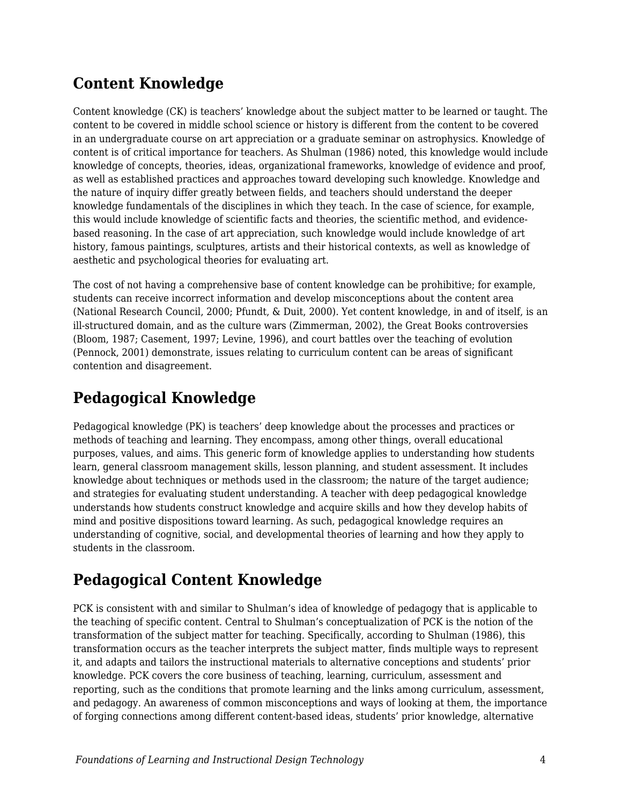#### **Content Knowledge**

Content knowledge (CK) is teachers' knowledge about the subject matter to be learned or taught. The content to be covered in middle school science or history is different from the content to be covered in an undergraduate course on art appreciation or a graduate seminar on astrophysics. Knowledge of content is of critical importance for teachers. As Shulman (1986) noted, this knowledge would include knowledge of concepts, theories, ideas, organizational frameworks, knowledge of evidence and proof, as well as established practices and approaches toward developing such knowledge. Knowledge and the nature of inquiry differ greatly between fields, and teachers should understand the deeper knowledge fundamentals of the disciplines in which they teach. In the case of science, for example, this would include knowledge of scientific facts and theories, the scientific method, and evidencebased reasoning. In the case of art appreciation, such knowledge would include knowledge of art history, famous paintings, sculptures, artists and their historical contexts, as well as knowledge of aesthetic and psychological theories for evaluating art.

The cost of not having a comprehensive base of content knowledge can be prohibitive; for example, students can receive incorrect information and develop misconceptions about the content area (National Research Council, 2000; Pfundt, & Duit, 2000). Yet content knowledge, in and of itself, is an ill-structured domain, and as the culture wars (Zimmerman, 2002), the Great Books controversies (Bloom, 1987; Casement, 1997; Levine, 1996), and court battles over the teaching of evolution (Pennock, 2001) demonstrate, issues relating to curriculum content can be areas of significant contention and disagreement.

# **Pedagogical Knowledge**

Pedagogical knowledge (PK) is teachers' deep knowledge about the processes and practices or methods of teaching and learning. They encompass, among other things, overall educational purposes, values, and aims. This generic form of knowledge applies to understanding how students learn, general classroom management skills, lesson planning, and student assessment. It includes knowledge about techniques or methods used in the classroom; the nature of the target audience; and strategies for evaluating student understanding. A teacher with deep pedagogical knowledge understands how students construct knowledge and acquire skills and how they develop habits of mind and positive dispositions toward learning. As such, pedagogical knowledge requires an understanding of cognitive, social, and developmental theories of learning and how they apply to students in the classroom.

# **Pedagogical Content Knowledge**

PCK is consistent with and similar to Shulman's idea of knowledge of pedagogy that is applicable to the teaching of specific content. Central to Shulman's conceptualization of PCK is the notion of the transformation of the subject matter for teaching. Specifically, according to Shulman (1986), this transformation occurs as the teacher interprets the subject matter, finds multiple ways to represent it, and adapts and tailors the instructional materials to alternative conceptions and students' prior knowledge. PCK covers the core business of teaching, learning, curriculum, assessment and reporting, such as the conditions that promote learning and the links among curriculum, assessment, and pedagogy. An awareness of common misconceptions and ways of looking at them, the importance of forging connections among different content-based ideas, students' prior knowledge, alternative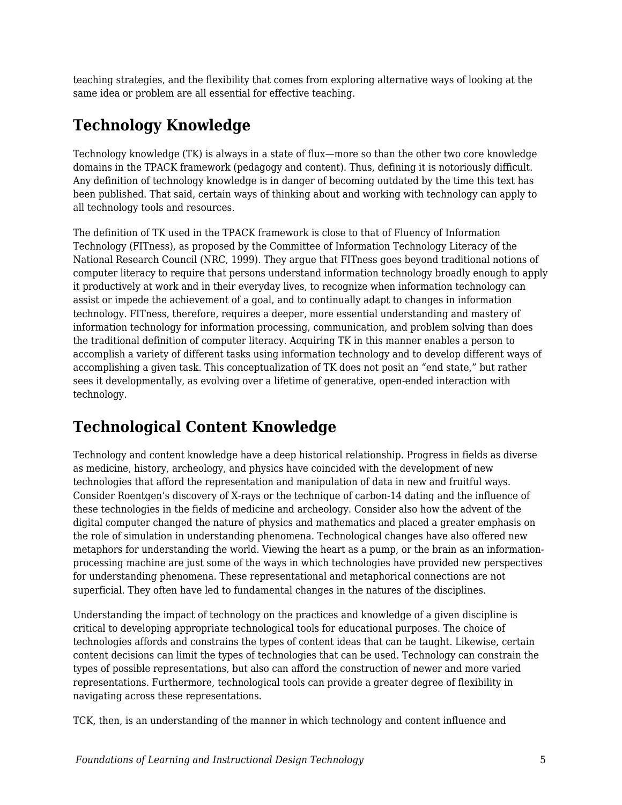teaching strategies, and the flexibility that comes from exploring alternative ways of looking at the same idea or problem are all essential for effective teaching.

# **Technology Knowledge**

Technology knowledge (TK) is always in a state of flux—more so than the other two core knowledge domains in the TPACK framework (pedagogy and content). Thus, defining it is notoriously difficult. Any definition of technology knowledge is in danger of becoming outdated by the time this text has been published. That said, certain ways of thinking about and working with technology can apply to all technology tools and resources.

The definition of TK used in the TPACK framework is close to that of Fluency of Information Technology (FITness), as proposed by the Committee of Information Technology Literacy of the National Research Council (NRC, 1999). They argue that FITness goes beyond traditional notions of computer literacy to require that persons understand information technology broadly enough to apply it productively at work and in their everyday lives, to recognize when information technology can assist or impede the achievement of a goal, and to continually adapt to changes in information technology. FITness, therefore, requires a deeper, more essential understanding and mastery of information technology for information processing, communication, and problem solving than does the traditional definition of computer literacy. Acquiring TK in this manner enables a person to accomplish a variety of different tasks using information technology and to develop different ways of accomplishing a given task. This conceptualization of TK does not posit an "end state," but rather sees it developmentally, as evolving over a lifetime of generative, open-ended interaction with technology.

# **Technological Content Knowledge**

Technology and content knowledge have a deep historical relationship. Progress in fields as diverse as medicine, history, archeology, and physics have coincided with the development of new technologies that afford the representation and manipulation of data in new and fruitful ways. Consider Roentgen's discovery of X-rays or the technique of carbon-14 dating and the influence of these technologies in the fields of medicine and archeology. Consider also how the advent of the digital computer changed the nature of physics and mathematics and placed a greater emphasis on the role of simulation in understanding phenomena. Technological changes have also offered new metaphors for understanding the world. Viewing the heart as a pump, or the brain as an informationprocessing machine are just some of the ways in which technologies have provided new perspectives for understanding phenomena. These representational and metaphorical connections are not superficial. They often have led to fundamental changes in the natures of the disciplines.

Understanding the impact of technology on the practices and knowledge of a given discipline is critical to developing appropriate technological tools for educational purposes. The choice of technologies affords and constrains the types of content ideas that can be taught. Likewise, certain content decisions can limit the types of technologies that can be used. Technology can constrain the types of possible representations, but also can afford the construction of newer and more varied representations. Furthermore, technological tools can provide a greater degree of flexibility in navigating across these representations.

TCK, then, is an understanding of the manner in which technology and content influence and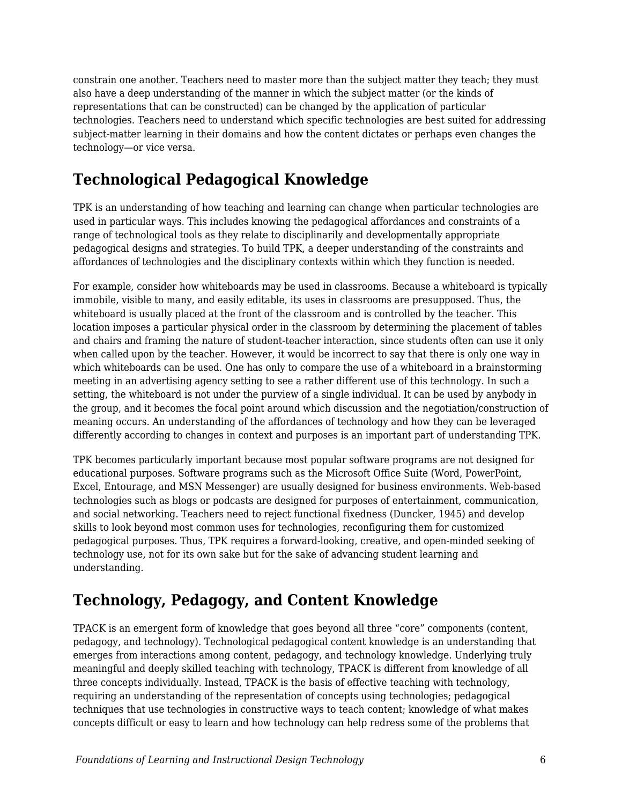constrain one another. Teachers need to master more than the subject matter they teach; they must also have a deep understanding of the manner in which the subject matter (or the kinds of representations that can be constructed) can be changed by the application of particular technologies. Teachers need to understand which specific technologies are best suited for addressing subject-matter learning in their domains and how the content dictates or perhaps even changes the technology—or vice versa.

# **Technological Pedagogical Knowledge**

TPK is an understanding of how teaching and learning can change when particular technologies are used in particular ways. This includes knowing the pedagogical affordances and constraints of a range of technological tools as they relate to disciplinarily and developmentally appropriate pedagogical designs and strategies. To build TPK, a deeper understanding of the constraints and affordances of technologies and the disciplinary contexts within which they function is needed.

For example, consider how whiteboards may be used in classrooms. Because a whiteboard is typically immobile, visible to many, and easily editable, its uses in classrooms are presupposed. Thus, the whiteboard is usually placed at the front of the classroom and is controlled by the teacher. This location imposes a particular physical order in the classroom by determining the placement of tables and chairs and framing the nature of student-teacher interaction, since students often can use it only when called upon by the teacher. However, it would be incorrect to say that there is only one way in which whiteboards can be used. One has only to compare the use of a whiteboard in a brainstorming meeting in an advertising agency setting to see a rather different use of this technology. In such a setting, the whiteboard is not under the purview of a single individual. It can be used by anybody in the group, and it becomes the focal point around which discussion and the negotiation/construction of meaning occurs. An understanding of the affordances of technology and how they can be leveraged differently according to changes in context and purposes is an important part of understanding TPK.

TPK becomes particularly important because most popular software programs are not designed for educational purposes. Software programs such as the Microsoft Office Suite (Word, PowerPoint, Excel, Entourage, and MSN Messenger) are usually designed for business environments. Web-based technologies such as blogs or podcasts are designed for purposes of entertainment, communication, and social networking. Teachers need to reject functional fixedness (Duncker, 1945) and develop skills to look beyond most common uses for technologies, reconfiguring them for customized pedagogical purposes. Thus, TPK requires a forward-looking, creative, and open-minded seeking of technology use, not for its own sake but for the sake of advancing student learning and understanding.

# **Technology, Pedagogy, and Content Knowledge**

TPACK is an emergent form of knowledge that goes beyond all three "core" components (content, pedagogy, and technology). Technological pedagogical content knowledge is an understanding that emerges from interactions among content, pedagogy, and technology knowledge. Underlying truly meaningful and deeply skilled teaching with technology, TPACK is different from knowledge of all three concepts individually. Instead, TPACK is the basis of effective teaching with technology, requiring an understanding of the representation of concepts using technologies; pedagogical techniques that use technologies in constructive ways to teach content; knowledge of what makes concepts difficult or easy to learn and how technology can help redress some of the problems that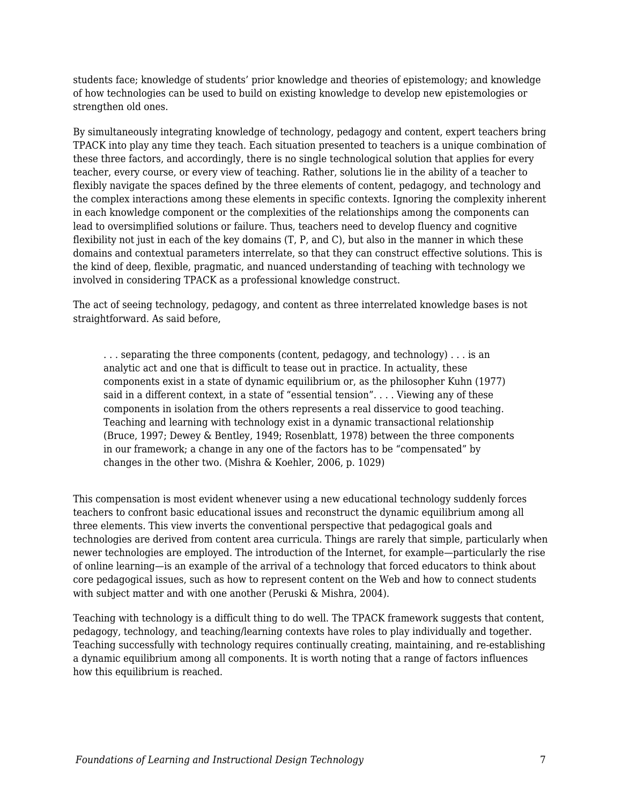students face; knowledge of students' prior knowledge and theories of epistemology; and knowledge of how technologies can be used to build on existing knowledge to develop new epistemologies or strengthen old ones.

By simultaneously integrating knowledge of technology, pedagogy and content, expert teachers bring TPACK into play any time they teach. Each situation presented to teachers is a unique combination of these three factors, and accordingly, there is no single technological solution that applies for every teacher, every course, or every view of teaching. Rather, solutions lie in the ability of a teacher to flexibly navigate the spaces defined by the three elements of content, pedagogy, and technology and the complex interactions among these elements in specific contexts. Ignoring the complexity inherent in each knowledge component or the complexities of the relationships among the components can lead to oversimplified solutions or failure. Thus, teachers need to develop fluency and cognitive flexibility not just in each of the key domains (T, P, and C), but also in the manner in which these domains and contextual parameters interrelate, so that they can construct effective solutions. This is the kind of deep, flexible, pragmatic, and nuanced understanding of teaching with technology we involved in considering TPACK as a professional knowledge construct.

The act of seeing technology, pedagogy, and content as three interrelated knowledge bases is not straightforward. As said before,

. . . separating the three components (content, pedagogy, and technology) . . . is an analytic act and one that is difficult to tease out in practice. In actuality, these components exist in a state of dynamic equilibrium or, as the philosopher Kuhn (1977) said in a different context, in a state of "essential tension". . . . Viewing any of these components in isolation from the others represents a real disservice to good teaching. Teaching and learning with technology exist in a dynamic transactional relationship (Bruce, 1997; Dewey & Bentley, 1949; Rosenblatt, 1978) between the three components in our framework; a change in any one of the factors has to be "compensated" by changes in the other two. (Mishra & Koehler, 2006, p. 1029)

This compensation is most evident whenever using a new educational technology suddenly forces teachers to confront basic educational issues and reconstruct the dynamic equilibrium among all three elements. This view inverts the conventional perspective that pedagogical goals and technologies are derived from content area curricula. Things are rarely that simple, particularly when newer technologies are employed. The introduction of the Internet, for example—particularly the rise of online learning—is an example of the arrival of a technology that forced educators to think about core pedagogical issues, such as how to represent content on the Web and how to connect students with subject matter and with one another (Peruski & Mishra, 2004).

Teaching with technology is a difficult thing to do well. The TPACK framework suggests that content, pedagogy, technology, and teaching/learning contexts have roles to play individually and together. Teaching successfully with technology requires continually creating, maintaining, and re-establishing a dynamic equilibrium among all components. It is worth noting that a range of factors influences how this equilibrium is reached.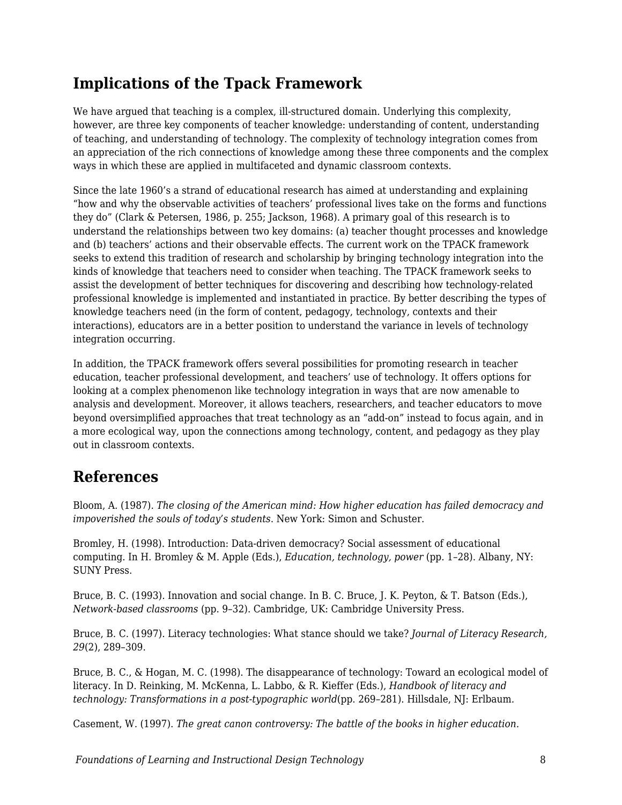#### **Implications of the Tpack Framework**

We have argued that teaching is a complex, ill-structured domain. Underlying this complexity, however, are three key components of teacher knowledge: understanding of content, understanding of teaching, and understanding of technology. The complexity of technology integration comes from an appreciation of the rich connections of knowledge among these three components and the complex ways in which these are applied in multifaceted and dynamic classroom contexts.

Since the late 1960's a strand of educational research has aimed at understanding and explaining "how and why the observable activities of teachers' professional lives take on the forms and functions they do" (Clark & Petersen, 1986, p. 255; Jackson, 1968). A primary goal of this research is to understand the relationships between two key domains: (a) teacher thought processes and knowledge and (b) teachers' actions and their observable effects. The current work on the TPACK framework seeks to extend this tradition of research and scholarship by bringing technology integration into the kinds of knowledge that teachers need to consider when teaching. The TPACK framework seeks to assist the development of better techniques for discovering and describing how technology-related professional knowledge is implemented and instantiated in practice. By better describing the types of knowledge teachers need (in the form of content, pedagogy, technology, contexts and their interactions), educators are in a better position to understand the variance in levels of technology integration occurring.

In addition, the TPACK framework offers several possibilities for promoting research in teacher education, teacher professional development, and teachers' use of technology. It offers options for looking at a complex phenomenon like technology integration in ways that are now amenable to analysis and development. Moreover, it allows teachers, researchers, and teacher educators to move beyond oversimplified approaches that treat technology as an "add-on" instead to focus again, and in a more ecological way, upon the connections among technology, content, and pedagogy as they play out in classroom contexts.

#### **References**

Bloom, A. (1987). *The closing of the American mind: How higher education has failed democracy and impoverished the souls of today's students*. New York: Simon and Schuster.

Bromley, H. (1998). Introduction: Data-driven democracy? Social assessment of educational computing. In H. Bromley & M. Apple (Eds.), *Education, technology, power* (pp. 1–28). Albany, NY: SUNY Press.

Bruce, B. C. (1993). Innovation and social change. In B. C. Bruce, J. K. Peyton, & T. Batson (Eds.), *Network-based classrooms* (pp. 9–32). Cambridge, UK: Cambridge University Press.

Bruce, B. C. (1997). Literacy technologies: What stance should we take? *Journal of Literacy Research, 29*(2), 289–309.

Bruce, B. C., & Hogan, M. C. (1998). The disappearance of technology: Toward an ecological model of literacy. In D. Reinking, M. McKenna, L. Labbo, & R. Kieffer (Eds.), *Handbook of literacy and technology: Transformations in a post-typographic world*(pp. 269–281). Hillsdale, NJ: Erlbaum.

Casement, W. (1997). *The great canon controversy: The battle of the books in higher education.*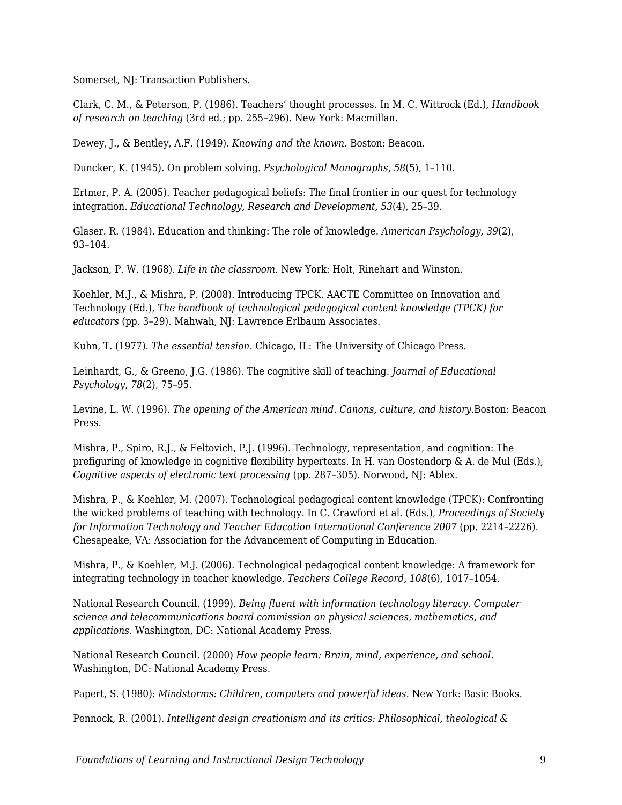Somerset, NJ: Transaction Publishers.

Clark, C. M., & Peterson, P. (1986). Teachers' thought processes. In M. C. Wittrock (Ed.), *Handbook of research on teaching* (3rd ed.; pp. 255–296). New York: Macmillan.

Dewey, J., & Bentley, A.F. (1949). *Knowing and the known*. Boston: Beacon.

Duncker, K. (1945). On problem solving. *Psychological Monographs, 58*(5), 1–110.

Ertmer, P. A. (2005). Teacher pedagogical beliefs: The final frontier in our quest for technology integration. *Educational Technology, Research and Development, 53*(4), 25–39.

Glaser. R. (1984). Education and thinking: The role of knowledge. *American Psychology, 39*(2), 93–104.

Jackson, P. W. (1968). *Life in the classroom.* New York: Holt, Rinehart and Winston.

Koehler, M.J., & Mishra, P. (2008). Introducing TPCK. AACTE Committee on Innovation and Technology (Ed.), *The handbook of technological pedagogical content knowledge (TPCK) for educators* (pp. 3–29). Mahwah, NJ: Lawrence Erlbaum Associates.

Kuhn, T. (1977). *The essential tension.* Chicago, IL: The University of Chicago Press.

Leinhardt, G., & Greeno, J.G. (1986). The cognitive skill of teaching. *Journal of Educational Psychology, 78*(2), 75–95.

Levine, L. W. (1996). *The opening of the American mind. Canons, culture, and history.*Boston: Beacon Press.

Mishra, P., Spiro, R.J., & Feltovich, P.J. (1996). Technology, representation, and cognition: The prefiguring of knowledge in cognitive flexibility hypertexts. In H. van Oostendorp & A. de Mul (Eds.), *Cognitive aspects of electronic text processing* (pp. 287–305). Norwood, NJ: Ablex.

Mishra, P., & Koehler, M. (2007). Technological pedagogical content knowledge (TPCK): Confronting the wicked problems of teaching with technology. In C. Crawford et al. (Eds.), *Proceedings of Society for Information Technology and Teacher Education International Conference 2007* (pp. 2214–2226). Chesapeake, VA: Association for the Advancement of Computing in Education.

Mishra, P., & Koehler, M.J. (2006). Technological pedagogical content knowledge: A framework for integrating technology in teacher knowledge. *Teachers College Record, 108*(6), 1017–1054.

National Research Council. (1999). *Being fluent with information technology literacy. Computer science and telecommunications board commission on physical sciences, mathematics, and applications.* Washington, DC: National Academy Press.

National Research Council. (2000) *How people learn: Brain, mind, experience, and school*. Washington, DC: National Academy Press.

Papert, S. (1980): *Mindstorms: Children, computers and powerful ideas*. New York: Basic Books.

Pennock, R. (2001). *Intelligent design creationism and its critics: Philosophical, theological &*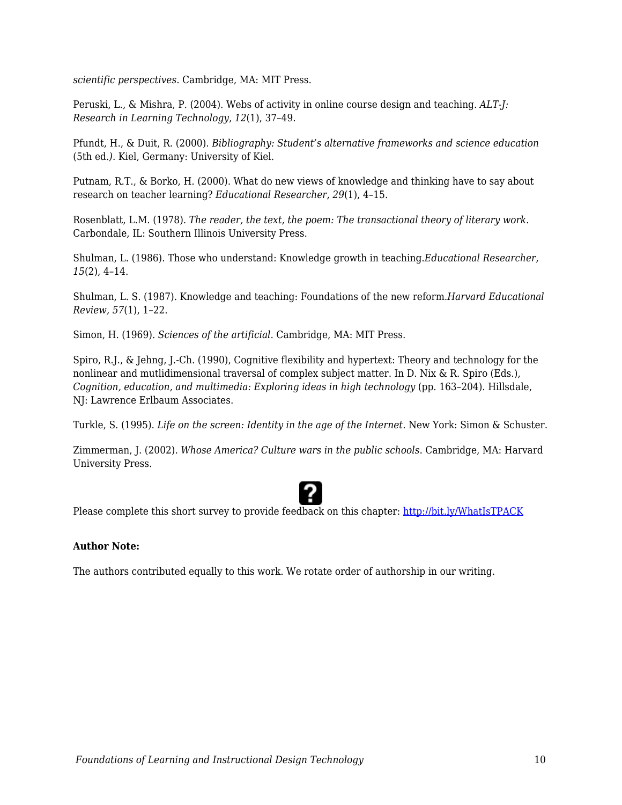*scientific perspectives*. Cambridge, MA: MIT Press.

Peruski, L., & Mishra, P. (2004). Webs of activity in online course design and teaching. *ALT-J: Research in Learning Technology, 12*(1), 37–49.

Pfundt, H., & Duit, R. (2000). *Bibliography: Student's alternative frameworks and science education* (5th ed*.).* Kiel, Germany: University of Kiel.

Putnam, R.T., & Borko, H. (2000). What do new views of knowledge and thinking have to say about research on teacher learning? *Educational Researcher, 29*(1), 4–15.

Rosenblatt, L.M. (1978). *The reader, the text, the poem: The transactional theory of literary work*. Carbondale, IL: Southern Illinois University Press.

Shulman, L. (1986). Those who understand: Knowledge growth in teaching.*Educational Researcher, 15*(2), 4–14.

Shulman, L. S. (1987). Knowledge and teaching: Foundations of the new reform.*Harvard Educational Review, 57*(1), 1–22.

Simon, H. (1969). *Sciences of the artificial*. Cambridge, MA: MIT Press.

Spiro, R.J., & Jehng, J.-Ch. (1990), Cognitive flexibility and hypertext: Theory and technology for the nonlinear and mutlidimensional traversal of complex subject matter. In D. Nix & R. Spiro (Eds.), *Cognition, education, and multimedia: Exploring ideas in high technology* (pp. 163–204). Hillsdale, NJ: Lawrence Erlbaum Associates.

Turkle, S. (1995). *Life on the screen: Identity in the age of the Internet*. New York: Simon & Schuster.

Zimmerman, J. (2002). *Whose America? Culture wars in the public schools*. Cambridge, MA: Harvard University Press.



Please complete this short survey to provide feedback on this chapter: <http://bit.ly/WhatIsTPACK>

#### **Author Note:**

The authors contributed equally to this work. We rotate order of authorship in our writing.